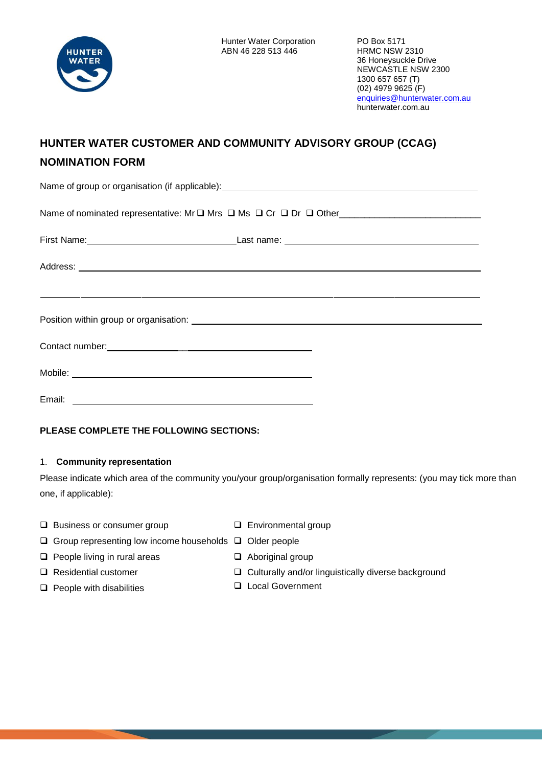

# **HUNTER WATER CUSTOMER AND COMMUNITY ADVISORY GROUP (CCAG) NOMINATION FORM**

Name of group or organisation (if applicable): **Name of group of gradients** Name of nominated representative: Mr Mrs Ms Cr Dr Other\_\_\_\_\_\_\_\_\_\_\_\_\_\_\_\_\_\_\_\_\_\_\_\_\_\_\_\_

| Contact number:<br><u> Contact number:</u> |  |
|--------------------------------------------|--|
|                                            |  |
|                                            |  |

**PLEASE COMPLETE THE FOLLOWING SECTIONS:**

# 1. **Community representation**

Please indicate which area of the community you/your group/organisation formally represents: (you may tick more than one, if applicable):

- $\square$  Business or consumer group  $\square$  Environmental group
	-
- $\Box$  Group representing low income households  $\Box$  Older people
- $\Box$  People living in rural areas  $\Box$  Aboriginal group
- 
- People with disabilities Local Government
- 
- □ Residential customer <br> Culturally and/or linguistically diverse background
	-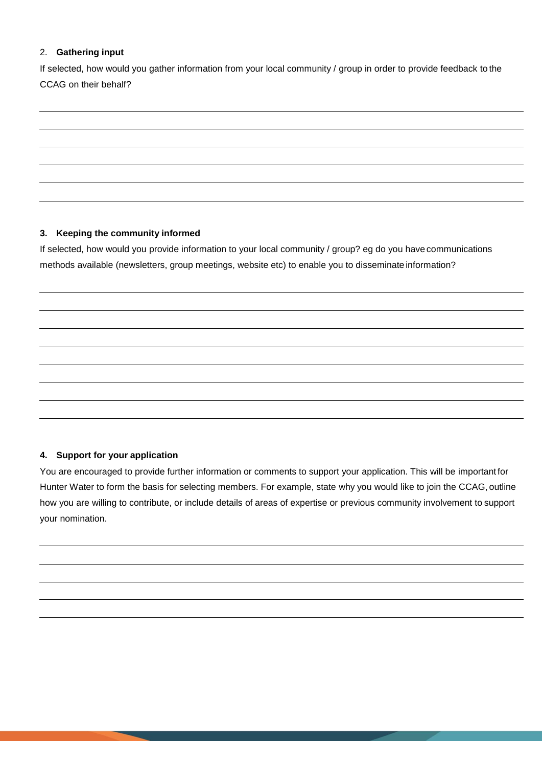## 2. **Gathering input**

If selected, how would you gather information from your local community / group in order to provide feedback to the CCAG on their behalf?

### **3. Keeping the community informed**

If selected, how would you provide information to your local community / group? eg do you have communications methods available (newsletters, group meetings, website etc) to enable you to disseminate information?

# **4. Support for your application**

You are encouraged to provide further information or comments to support your application. This will be important for Hunter Water to form the basis for selecting members. For example, state why you would like to join the CCAG, outline how you are willing to contribute, or include details of areas of expertise or previous community involvement to support your nomination.